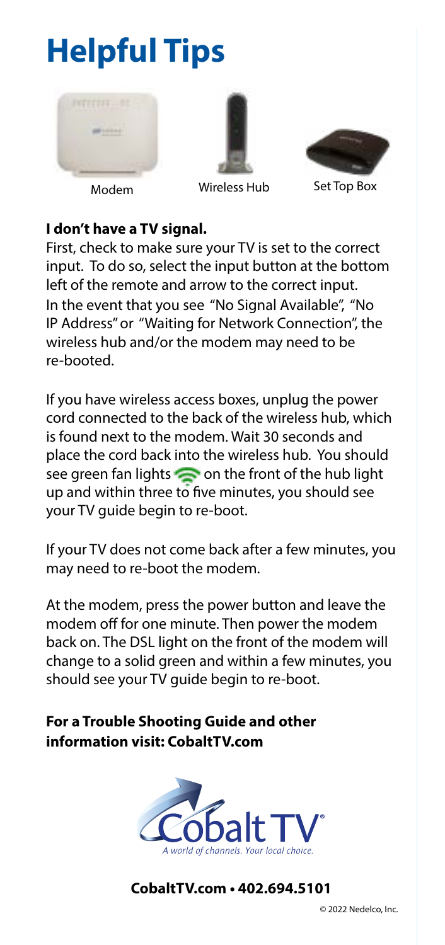# **Helpful Tips**







Modem Wireless Hub Set Top Box

## **I don't have a TV signal.**

First, check to make sure your TV is set to the correct input. To do so, select the input button at the bottom left of the remote and arrow to the correct input. In the event that you see "No Signal Available", "No IP Address" or "Waiting for Network Connection", the wireless hub and/or the modem may need to be re-booted.

If you have wireless access boxes, unplug the power cord connected to the back of the wireless hub, which is found next to the modem. Wait 30 seconds and place the cord back into the wireless hub. You should see green fan lights  $\sum$  on the front of the hub light up and within three to five minutes, you should see your TV guide begin to re-boot.

If your TV does not come back after a few minutes, you may need to re-boot the modem.

At the modem, press the power button and leave the modem off for one minute. Then power the modem back on. The DSL light on the front of the modem will change to a solid green and within a few minutes, you should see your TV guide begin to re-boot.

# **For a Trouble Shooting Guide and other information visit: CobaltTV.com**



**CobaltTV.com • 402.694.5101**